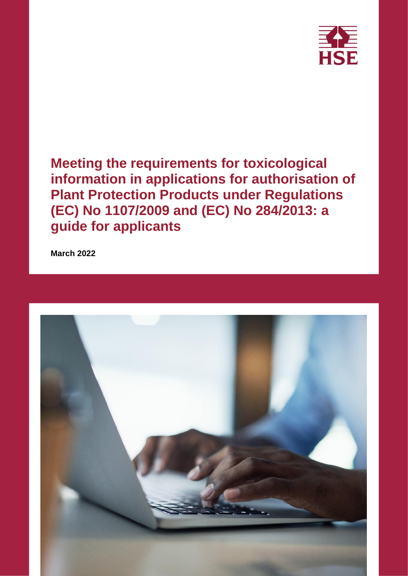

**Meeting the requirements for toxicological information in applications for authorisation of Plant Protection Products under Regulations (EC) No 1107/2009 and (EC) No 284/2013: a guide for applicants**

**March 2022**

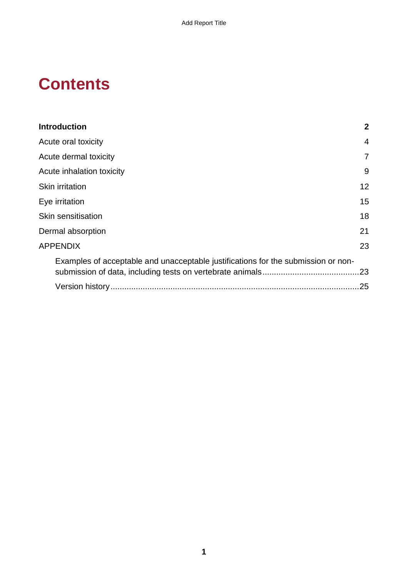# **Contents**

| <b>Introduction</b>                                                               | $\mathbf{2}$ |
|-----------------------------------------------------------------------------------|--------------|
| Acute oral toxicity                                                               | 4            |
| Acute dermal toxicity                                                             | 7            |
| Acute inhalation toxicity                                                         | 9            |
| Skin irritation                                                                   | 12           |
| Eye irritation                                                                    | 15           |
| Skin sensitisation                                                                | 18           |
| Dermal absorption                                                                 | 21           |
| <b>APPENDIX</b>                                                                   | 23           |
| Examples of acceptable and unacceptable justifications for the submission or non- |              |
|                                                                                   | .23          |
|                                                                                   | 25           |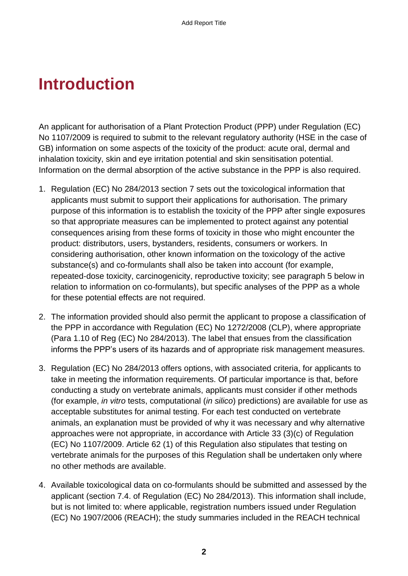# <span id="page-3-0"></span>**Introduction**

An applicant for authorisation of a Plant Protection Product (PPP) under Regulation (EC) No 1107/2009 is required to submit to the relevant regulatory authority (HSE in the case of GB) information on some aspects of the toxicity of the product: acute oral, dermal and inhalation toxicity, skin and eye irritation potential and skin sensitisation potential. Information on the dermal absorption of the active substance in the PPP is also required.

- 1. Regulation (EC) No 284/2013 section 7 sets out the toxicological information that applicants must submit to support their applications for authorisation. The primary purpose of this information is to establish the toxicity of the PPP after single exposures so that appropriate measures can be implemented to protect against any potential consequences arising from these forms of toxicity in those who might encounter the product: distributors, users, bystanders, residents, consumers or workers. In considering authorisation, other known information on the toxicology of the active substance(s) and co-formulants shall also be taken into account (for example, repeated-dose toxicity, carcinogenicity, reproductive toxicity; see paragraph 5 below in relation to information on co-formulants), but specific analyses of the PPP as a whole for these potential effects are not required.
- 2. The information provided should also permit the applicant to propose a classification of the PPP in accordance with Regulation (EC) No 1272/2008 (CLP), where appropriate (Para 1.10 of Reg (EC) No 284/2013). The label that ensues from the classification informs the PPP's users of its hazards and of appropriate risk management measures.
- 3. Regulation (EC) No 284/2013 offers options, with associated criteria, for applicants to take in meeting the information requirements. Of particular importance is that, before conducting a study on vertebrate animals, applicants must consider if other methods (for example, *in vitro* tests, computational (*in silico*) predictions) are available for use as acceptable substitutes for animal testing. For each test conducted on vertebrate animals, an explanation must be provided of why it was necessary and why alternative approaches were not appropriate, in accordance with Article 33 (3)(c) of Regulation (EC) No 1107/2009. Article 62 (1) of this Regulation also stipulates that testing on vertebrate animals for the purposes of this Regulation shall be undertaken only where no other methods are available.
- 4. Available toxicological data on co-formulants should be submitted and assessed by the applicant (section 7.4. of Regulation (EC) No 284/2013). This information shall include, but is not limited to: where applicable, registration numbers issued under Regulation (EC) No 1907/2006 (REACH); the study summaries included in the REACH technical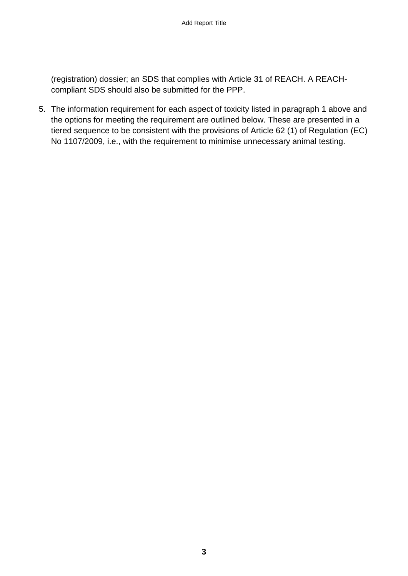(registration) dossier; an SDS that complies with Article 31 of REACH. A REACHcompliant SDS should also be submitted for the PPP.

5. The information requirement for each aspect of toxicity listed in paragraph 1 above and the options for meeting the requirement are outlined below. These are presented in a tiered sequence to be consistent with the provisions of Article 62 (1) of Regulation (EC) No 1107/2009, i.e., with the requirement to minimise unnecessary animal testing.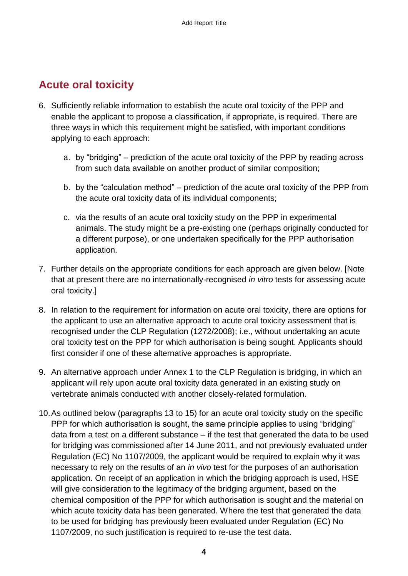## <span id="page-5-0"></span>**Acute oral toxicity**

- 6. Sufficiently reliable information to establish the acute oral toxicity of the PPP and enable the applicant to propose a classification, if appropriate, is required. There are three ways in which this requirement might be satisfied, with important conditions applying to each approach:
	- a. by "bridging" prediction of the acute oral toxicity of the PPP by reading across from such data available on another product of similar composition;
	- b. by the "calculation method" prediction of the acute oral toxicity of the PPP from the acute oral toxicity data of its individual components;
	- c. via the results of an acute oral toxicity study on the PPP in experimental animals. The study might be a pre-existing one (perhaps originally conducted for a different purpose), or one undertaken specifically for the PPP authorisation application.
- 7. Further details on the appropriate conditions for each approach are given below. [Note that at present there are no internationally-recognised *in vitro* tests for assessing acute oral toxicity.]
- 8. In relation to the requirement for information on acute oral toxicity, there are options for the applicant to use an alternative approach to acute oral toxicity assessment that is recognised under the CLP Regulation (1272/2008); i.e., without undertaking an acute oral toxicity test on the PPP for which authorisation is being sought. Applicants should first consider if one of these alternative approaches is appropriate.
- 9. An alternative approach under Annex 1 to the CLP Regulation is bridging, in which an applicant will rely upon acute oral toxicity data generated in an existing study on vertebrate animals conducted with another closely-related formulation.
- 10.As outlined below (paragraphs 13 to 15) for an acute oral toxicity study on the specific PPP for which authorisation is sought, the same principle applies to using "bridging" data from a test on a different substance – if the test that generated the data to be used for bridging was commissioned after 14 June 2011, and not previously evaluated under Regulation (EC) No 1107/2009, the applicant would be required to explain why it was necessary to rely on the results of an *in vivo* test for the purposes of an authorisation application. On receipt of an application in which the bridging approach is used, HSE will give consideration to the legitimacy of the bridging argument, based on the chemical composition of the PPP for which authorisation is sought and the material on which acute toxicity data has been generated. Where the test that generated the data to be used for bridging has previously been evaluated under Regulation (EC) No 1107/2009, no such justification is required to re-use the test data.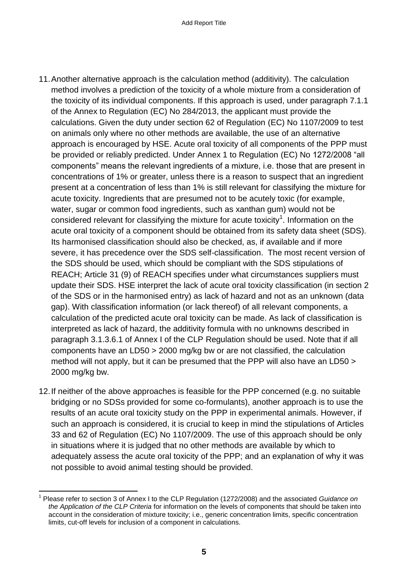- 11.Another alternative approach is the calculation method (additivity). The calculation method involves a prediction of the toxicity of a whole mixture from a consideration of the toxicity of its individual components. If this approach is used, under paragraph 7.1.1 of the Annex to Regulation (EC) No 284/2013, the applicant must provide the calculations. Given the duty under section 62 of Regulation (EC) No 1107/2009 to test on animals only where no other methods are available, the use of an alternative approach is encouraged by HSE. Acute oral toxicity of all components of the PPP must be provided or reliably predicted. Under Annex 1 to Regulation (EC) No 1272/2008 "all components" means the relevant ingredients of a mixture, i.e. those that are present in concentrations of 1% or greater, unless there is a reason to suspect that an ingredient present at a concentration of less than 1% is still relevant for classifying the mixture for acute toxicity. Ingredients that are presumed not to be acutely toxic (for example, water, sugar or common food ingredients, such as xanthan gum) would not be considered relevant for classifying the mixture for acute toxicity<sup>1</sup>. Information on the acute oral toxicity of a component should be obtained from its safety data sheet (SDS). Its harmonised classification should also be checked, as, if available and if more severe, it has precedence over the SDS self-classification. The most recent version of the SDS should be used, which should be compliant with the SDS stipulations of REACH; Article 31 (9) of REACH specifies under what circumstances suppliers must update their SDS. HSE interpret the lack of acute oral toxicity classification (in section 2 of the SDS or in the harmonised entry) as lack of hazard and not as an unknown (data gap). With classification information (or lack thereof) of all relevant components, a calculation of the predicted acute oral toxicity can be made. As lack of classification is interpreted as lack of hazard, the additivity formula with no unknowns described in paragraph 3.1.3.6.1 of Annex I of the CLP Regulation should be used. Note that if all components have an LD50 > 2000 mg/kg bw or are not classified, the calculation method will not apply, but it can be presumed that the PPP will also have an LD50 > 2000 mg/kg bw.
- 12.If neither of the above approaches is feasible for the PPP concerned (e.g. no suitable bridging or no SDSs provided for some co-formulants), another approach is to use the results of an acute oral toxicity study on the PPP in experimental animals. However, if such an approach is considered, it is crucial to keep in mind the stipulations of Articles 33 and 62 of Regulation (EC) No 1107/2009. The use of this approach should be only in situations where it is judged that no other methods are available by which to adequately assess the acute oral toxicity of the PPP; and an explanation of why it was not possible to avoid animal testing should be provided.

<sup>1</sup> 1 Please refer to section 3 of Annex I to the CLP Regulation (1272/2008) and the associated *Guidance on the Application of the CLP Criteria* for information on the levels of components that should be taken into account in the consideration of mixture toxicity; i.e., generic concentration limits, specific concentration limits, cut-off levels for inclusion of a component in calculations.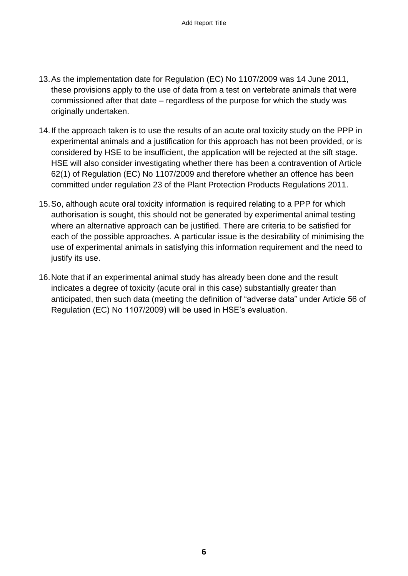- 13.As the implementation date for Regulation (EC) No 1107/2009 was 14 June 2011, these provisions apply to the use of data from a test on vertebrate animals that were commissioned after that date – regardless of the purpose for which the study was originally undertaken.
- 14.If the approach taken is to use the results of an acute oral toxicity study on the PPP in experimental animals and a justification for this approach has not been provided, or is considered by HSE to be insufficient, the application will be rejected at the sift stage. HSE will also consider investigating whether there has been a contravention of Article 62(1) of Regulation (EC) No 1107/2009 and therefore whether an offence has been committed under regulation 23 of the Plant Protection Products Regulations 2011.
- 15.So, although acute oral toxicity information is required relating to a PPP for which authorisation is sought, this should not be generated by experimental animal testing where an alternative approach can be justified. There are criteria to be satisfied for each of the possible approaches. A particular issue is the desirability of minimising the use of experimental animals in satisfying this information requirement and the need to justify its use.
- 16.Note that if an experimental animal study has already been done and the result indicates a degree of toxicity (acute oral in this case) substantially greater than anticipated, then such data (meeting the definition of "adverse data" under Article 56 of Regulation (EC) No 1107/2009) will be used in HSE's evaluation.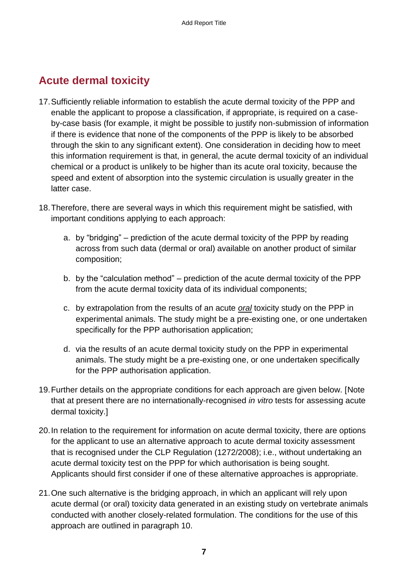### <span id="page-8-0"></span>**Acute dermal toxicity**

- 17.Sufficiently reliable information to establish the acute dermal toxicity of the PPP and enable the applicant to propose a classification, if appropriate, is required on a caseby-case basis (for example, it might be possible to justify non-submission of information if there is evidence that none of the components of the PPP is likely to be absorbed through the skin to any significant extent). One consideration in deciding how to meet this information requirement is that, in general, the acute dermal toxicity of an individual chemical or a product is unlikely to be higher than its acute oral toxicity, because the speed and extent of absorption into the systemic circulation is usually greater in the latter case.
- 18.Therefore, there are several ways in which this requirement might be satisfied, with important conditions applying to each approach:
	- a. by "bridging" prediction of the acute dermal toxicity of the PPP by reading across from such data (dermal or oral) available on another product of similar composition;
	- b. by the "calculation method" prediction of the acute dermal toxicity of the PPP from the acute dermal toxicity data of its individual components;
	- c. by extrapolation from the results of an acute *oral* toxicity study on the PPP in experimental animals. The study might be a pre-existing one, or one undertaken specifically for the PPP authorisation application;
	- d. via the results of an acute dermal toxicity study on the PPP in experimental animals. The study might be a pre-existing one, or one undertaken specifically for the PPP authorisation application.
- 19.Further details on the appropriate conditions for each approach are given below. [Note that at present there are no internationally-recognised *in vitro* tests for assessing acute dermal toxicity.]
- 20.In relation to the requirement for information on acute dermal toxicity, there are options for the applicant to use an alternative approach to acute dermal toxicity assessment that is recognised under the CLP Regulation (1272/2008); i.e., without undertaking an acute dermal toxicity test on the PPP for which authorisation is being sought. Applicants should first consider if one of these alternative approaches is appropriate.
- 21.One such alternative is the bridging approach, in which an applicant will rely upon acute dermal (or oral) toxicity data generated in an existing study on vertebrate animals conducted with another closely-related formulation. The conditions for the use of this approach are outlined in paragraph 10.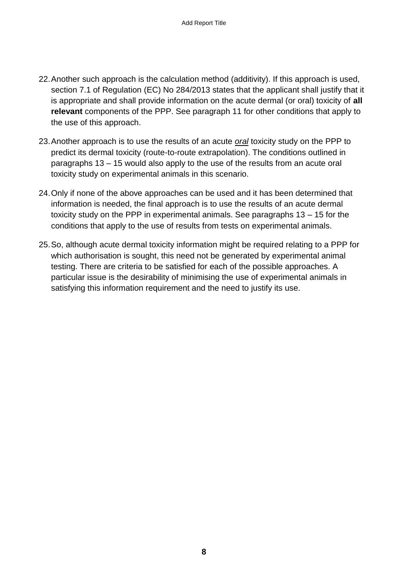- 22.Another such approach is the calculation method (additivity). If this approach is used, section 7.1 of Regulation (EC) No 284/2013 states that the applicant shall justify that it is appropriate and shall provide information on the acute dermal (or oral) toxicity of **all relevant** components of the PPP. See paragraph 11 for other conditions that apply to the use of this approach.
- 23.Another approach is to use the results of an acute *oral* toxicity study on the PPP to predict its dermal toxicity (route-to-route extrapolation). The conditions outlined in paragraphs 13 – 15 would also apply to the use of the results from an acute oral toxicity study on experimental animals in this scenario.
- 24.Only if none of the above approaches can be used and it has been determined that information is needed, the final approach is to use the results of an acute dermal toxicity study on the PPP in experimental animals. See paragraphs 13 – 15 for the conditions that apply to the use of results from tests on experimental animals.
- 25.So, although acute dermal toxicity information might be required relating to a PPP for which authorisation is sought, this need not be generated by experimental animal testing. There are criteria to be satisfied for each of the possible approaches. A particular issue is the desirability of minimising the use of experimental animals in satisfying this information requirement and the need to justify its use.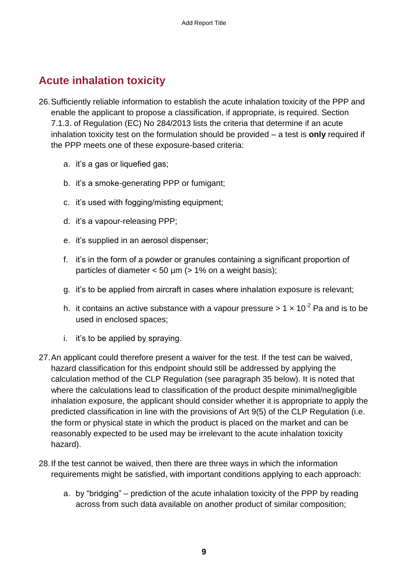## <span id="page-10-0"></span>**Acute inhalation toxicity**

- 26.Sufficiently reliable information to establish the acute inhalation toxicity of the PPP and enable the applicant to propose a classification, if appropriate, is required. Section 7.1.3. of Regulation (EC) No 284/2013 lists the criteria that determine if an acute inhalation toxicity test on the formulation should be provided – a test is **only** required if the PPP meets one of these exposure-based criteria:
	- a. it's a gas or liquefied gas;
	- b. it's a smoke-generating PPP or fumigant;
	- c. it's used with fogging/misting equipment;
	- d. it's a vapour-releasing PPP;
	- e. it's supplied in an aerosol dispenser;
	- f. it's in the form of a powder or granules containing a significant proportion of particles of diameter  $< 50 \mu m$  ( $> 1\%$  on a weight basis);
	- g. it's to be applied from aircraft in cases where inhalation exposure is relevant;
	- h. it contains an active substance with a vapour pressure  $> 1 \times 10^{-2}$  Pa and is to be used in enclosed spaces;
	- i. it's to be applied by spraying.
- 27.An applicant could therefore present a waiver for the test. If the test can be waived, hazard classification for this endpoint should still be addressed by applying the calculation method of the CLP Regulation (see paragraph 35 below). It is noted that where the calculations lead to classification of the product despite minimal/negligible inhalation exposure, the applicant should consider whether it is appropriate to apply the predicted classification in line with the provisions of Art 9(5) of the CLP Regulation (i.e. the form or physical state in which the product is placed on the market and can be reasonably expected to be used may be irrelevant to the acute inhalation toxicity hazard).
- 28.If the test cannot be waived, then there are three ways in which the information requirements might be satisfied, with important conditions applying to each approach:
	- a. by "bridging" prediction of the acute inhalation toxicity of the PPP by reading across from such data available on another product of similar composition;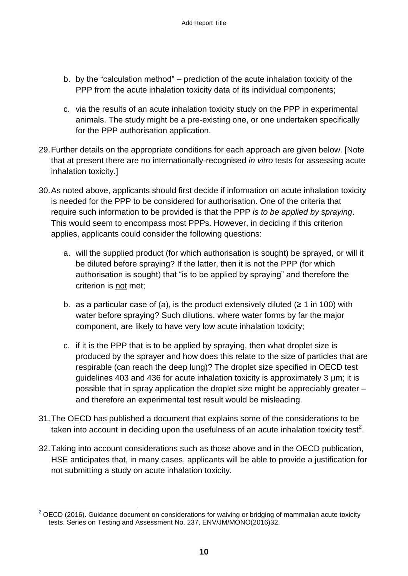- b. by the "calculation method" prediction of the acute inhalation toxicity of the PPP from the acute inhalation toxicity data of its individual components;
- c. via the results of an acute inhalation toxicity study on the PPP in experimental animals. The study might be a pre-existing one, or one undertaken specifically for the PPP authorisation application.
- 29.Further details on the appropriate conditions for each approach are given below. [Note that at present there are no internationally-recognised *in vitro* tests for assessing acute inhalation toxicity.]
- 30.As noted above, applicants should first decide if information on acute inhalation toxicity is needed for the PPP to be considered for authorisation. One of the criteria that require such information to be provided is that the PPP *is to be applied by spraying*. This would seem to encompass most PPPs. However, in deciding if this criterion applies, applicants could consider the following questions:
	- a. will the supplied product (for which authorisation is sought) be sprayed, or will it be diluted before spraying? If the latter, then it is not the PPP (for which authorisation is sought) that "is to be applied by spraying" and therefore the criterion is not met;
	- b. as a particular case of (a), is the product extensively diluted ( $\geq 1$  in 100) with water before spraying? Such dilutions, where water forms by far the major component, are likely to have very low acute inhalation toxicity;
	- c. if it is the PPP that is to be applied by spraying, then what droplet size is produced by the sprayer and how does this relate to the size of particles that are respirable (can reach the deep lung)? The droplet size specified in OECD test guidelines 403 and 436 for acute inhalation toxicity is approximately 3 µm; it is possible that in spray application the droplet size might be appreciably greater – and therefore an experimental test result would be misleading.
- 31.The OECD has published a document that explains some of the considerations to be taken into account in deciding upon the usefulness of an acute inhalation toxicity test<sup>2</sup>.
- 32.Taking into account considerations such as those above and in the OECD publication, HSE anticipates that, in many cases, applicants will be able to provide a justification for not submitting a study on acute inhalation toxicity.

<sup>1</sup>  $2$  OECD (2016). Guidance document on considerations for waiving or bridging of mammalian acute toxicity tests. Series on Testing and Assessment No. 237, ENV/JM/MONO(2016)32.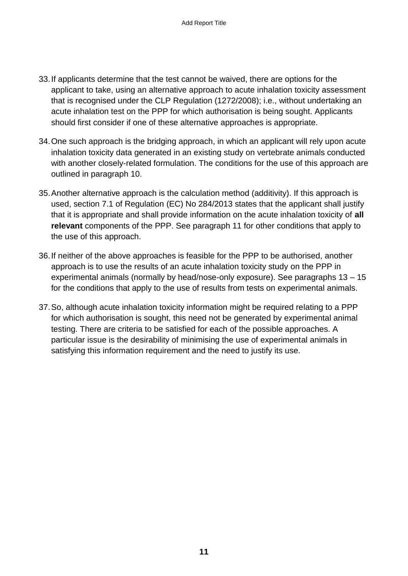- 33.If applicants determine that the test cannot be waived, there are options for the applicant to take, using an alternative approach to acute inhalation toxicity assessment that is recognised under the CLP Regulation (1272/2008); i.e., without undertaking an acute inhalation test on the PPP for which authorisation is being sought. Applicants should first consider if one of these alternative approaches is appropriate.
- 34.One such approach is the bridging approach, in which an applicant will rely upon acute inhalation toxicity data generated in an existing study on vertebrate animals conducted with another closely-related formulation. The conditions for the use of this approach are outlined in paragraph 10.
- 35.Another alternative approach is the calculation method (additivity). If this approach is used, section 7.1 of Regulation (EC) No 284/2013 states that the applicant shall justify that it is appropriate and shall provide information on the acute inhalation toxicity of **all relevant** components of the PPP. See paragraph 11 for other conditions that apply to the use of this approach.
- 36.If neither of the above approaches is feasible for the PPP to be authorised, another approach is to use the results of an acute inhalation toxicity study on the PPP in experimental animals (normally by head/nose-only exposure). See paragraphs 13 – 15 for the conditions that apply to the use of results from tests on experimental animals.
- 37.So, although acute inhalation toxicity information might be required relating to a PPP for which authorisation is sought, this need not be generated by experimental animal testing. There are criteria to be satisfied for each of the possible approaches. A particular issue is the desirability of minimising the use of experimental animals in satisfying this information requirement and the need to justify its use.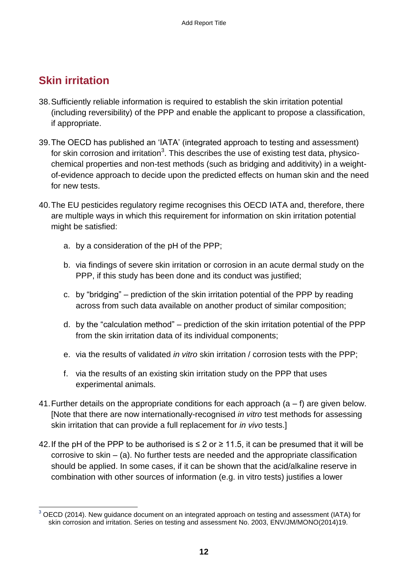#### <span id="page-13-0"></span>**Skin irritation**

- 38.Sufficiently reliable information is required to establish the skin irritation potential (including reversibility) of the PPP and enable the applicant to propose a classification, if appropriate.
- 39.The OECD has published an 'IATA' (integrated approach to testing and assessment) for skin corrosion and irritation<sup>3</sup>. This describes the use of existing test data, physicochemical properties and non-test methods (such as bridging and additivity) in a weightof-evidence approach to decide upon the predicted effects on human skin and the need for new tests.
- 40.The EU pesticides regulatory regime recognises this OECD IATA and, therefore, there are multiple ways in which this requirement for information on skin irritation potential might be satisfied:
	- a. by a consideration of the pH of the PPP;
	- b. via findings of severe skin irritation or corrosion in an acute dermal study on the PPP, if this study has been done and its conduct was justified;
	- c. by "bridging" prediction of the skin irritation potential of the PPP by reading across from such data available on another product of similar composition;
	- d. by the "calculation method" prediction of the skin irritation potential of the PPP from the skin irritation data of its individual components;
	- e. via the results of validated *in vitro* skin irritation / corrosion tests with the PPP;
	- f. via the results of an existing skin irritation study on the PPP that uses experimental animals.
- 41. Further details on the appropriate conditions for each approach  $(a f)$  are given below. [Note that there are now internationally-recognised *in vitro* test methods for assessing skin irritation that can provide a full replacement for *in vivo* tests.]
- 42. If the pH of the PPP to be authorised is  $\leq 2$  or  $\geq 11.5$ , it can be presumed that it will be corrosive to skin – (a). No further tests are needed and the appropriate classification should be applied. In some cases, if it can be shown that the acid/alkaline reserve in combination with other sources of information (e.g. in vitro tests) justifies a lower

<sup>1</sup>  $3$  OECD (2014). New guidance document on an integrated approach on testing and assessment (IATA) for skin corrosion and irritation. Series on testing and assessment No. 2003, ENV/JM/MONO(2014)19.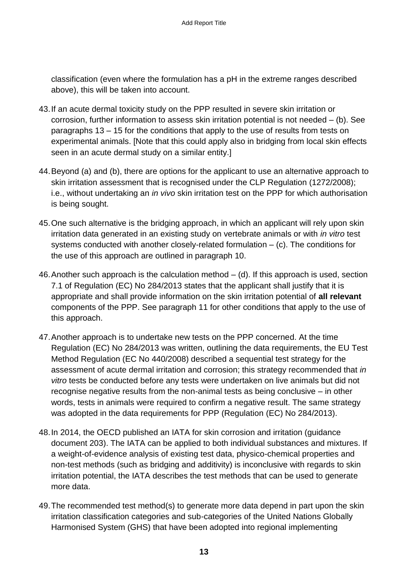classification (even where the formulation has a pH in the extreme ranges described above), this will be taken into account.

- 43.If an acute dermal toxicity study on the PPP resulted in severe skin irritation or corrosion, further information to assess skin irritation potential is not needed – (b). See paragraphs 13 – 15 for the conditions that apply to the use of results from tests on experimental animals. [Note that this could apply also in bridging from local skin effects seen in an acute dermal study on a similar entity.]
- 44.Beyond (a) and (b), there are options for the applicant to use an alternative approach to skin irritation assessment that is recognised under the CLP Regulation (1272/2008); i.e., without undertaking an *in vivo* skin irritation test on the PPP for which authorisation is being sought.
- 45.One such alternative is the bridging approach, in which an applicant will rely upon skin irritation data generated in an existing study on vertebrate animals or with *in vitro* test systems conducted with another closely-related formulation – (c). The conditions for the use of this approach are outlined in paragraph 10.
- 46.Another such approach is the calculation method (d). If this approach is used, section 7.1 of Regulation (EC) No 284/2013 states that the applicant shall justify that it is appropriate and shall provide information on the skin irritation potential of **all relevant** components of the PPP. See paragraph 11 for other conditions that apply to the use of this approach.
- 47.Another approach is to undertake new tests on the PPP concerned. At the time Regulation (EC) No 284/2013 was written, outlining the data requirements, the EU Test Method Regulation (EC No 440/2008) described a sequential test strategy for the assessment of acute dermal irritation and corrosion; this strategy recommended that *in vitro* tests be conducted before any tests were undertaken on live animals but did not recognise negative results from the non-animal tests as being conclusive – in other words, tests in animals were required to confirm a negative result. The same strategy was adopted in the data requirements for PPP (Regulation (EC) No 284/2013).
- 48.In 2014, the OECD published an IATA for skin corrosion and irritation (guidance document 203). The IATA can be applied to both individual substances and mixtures. If a weight-of-evidence analysis of existing test data, physico-chemical properties and non-test methods (such as bridging and additivity) is inconclusive with regards to skin irritation potential, the IATA describes the test methods that can be used to generate more data.
- 49.The recommended test method(s) to generate more data depend in part upon the skin irritation classification categories and sub-categories of the United Nations Globally Harmonised System (GHS) that have been adopted into regional implementing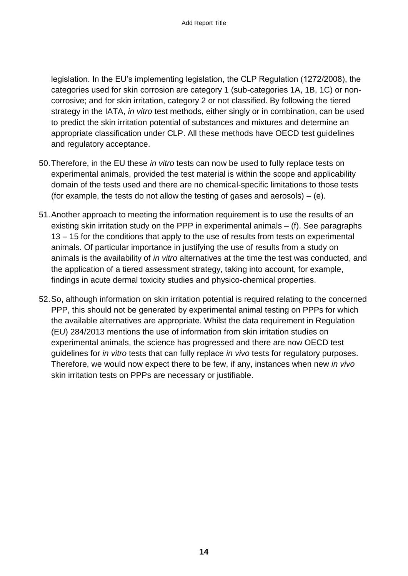legislation. In the EU's implementing legislation, the CLP Regulation (1272/2008), the categories used for skin corrosion are category 1 (sub-categories 1A, 1B, 1C) or noncorrosive; and for skin irritation, category 2 or not classified. By following the tiered strategy in the IATA, *in vitro* test methods, either singly or in combination, can be used to predict the skin irritation potential of substances and mixtures and determine an appropriate classification under CLP. All these methods have OECD test guidelines and regulatory acceptance.

- 50.Therefore, in the EU these *in vitro* tests can now be used to fully replace tests on experimental animals, provided the test material is within the scope and applicability domain of the tests used and there are no chemical-specific limitations to those tests (for example, the tests do not allow the testing of gases and aerosols)  $-$  (e).
- 51.Another approach to meeting the information requirement is to use the results of an existing skin irritation study on the PPP in experimental animals – (f). See paragraphs 13 – 15 for the conditions that apply to the use of results from tests on experimental animals. Of particular importance in justifying the use of results from a study on animals is the availability of *in vitro* alternatives at the time the test was conducted, and the application of a tiered assessment strategy, taking into account, for example, findings in acute dermal toxicity studies and physico-chemical properties.
- 52.So, although information on skin irritation potential is required relating to the concerned PPP, this should not be generated by experimental animal testing on PPPs for which the available alternatives are appropriate. Whilst the data requirement in Regulation (EU) 284/2013 mentions the use of information from skin irritation studies on experimental animals, the science has progressed and there are now OECD test guidelines for *in vitro* tests that can fully replace *in vivo* tests for regulatory purposes. Therefore, we would now expect there to be few, if any, instances when new *in vivo* skin irritation tests on PPPs are necessary or justifiable.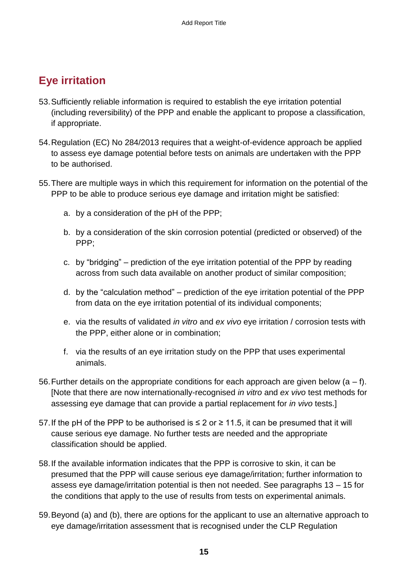## <span id="page-16-0"></span>**Eye irritation**

- 53.Sufficiently reliable information is required to establish the eye irritation potential (including reversibility) of the PPP and enable the applicant to propose a classification, if appropriate.
- 54.Regulation (EC) No 284/2013 requires that a weight-of-evidence approach be applied to assess eye damage potential before tests on animals are undertaken with the PPP to be authorised.
- 55.There are multiple ways in which this requirement for information on the potential of the PPP to be able to produce serious eye damage and irritation might be satisfied:
	- a. by a consideration of the pH of the PPP;
	- b. by a consideration of the skin corrosion potential (predicted or observed) of the PPP;
	- c. by "bridging" prediction of the eye irritation potential of the PPP by reading across from such data available on another product of similar composition;
	- d. by the "calculation method" prediction of the eye irritation potential of the PPP from data on the eye irritation potential of its individual components;
	- e. via the results of validated *in vitro* and *ex vivo* eye irritation / corrosion tests with the PPP, either alone or in combination;
	- f. via the results of an eye irritation study on the PPP that uses experimental animals.
- 56. Further details on the appropriate conditions for each approach are given below  $(a f)$ . [Note that there are now internationally-recognised *in vitro* and *ex vivo* test methods for assessing eye damage that can provide a partial replacement for *in vivo* tests.]
- 57. If the pH of the PPP to be authorised is ≤ 2 or ≥ 11.5, it can be presumed that it will cause serious eye damage. No further tests are needed and the appropriate classification should be applied.
- 58.If the available information indicates that the PPP is corrosive to skin, it can be presumed that the PPP will cause serious eye damage/irritation; further information to assess eye damage/irritation potential is then not needed. See paragraphs 13 – 15 for the conditions that apply to the use of results from tests on experimental animals.
- 59.Beyond (a) and (b), there are options for the applicant to use an alternative approach to eye damage/irritation assessment that is recognised under the CLP Regulation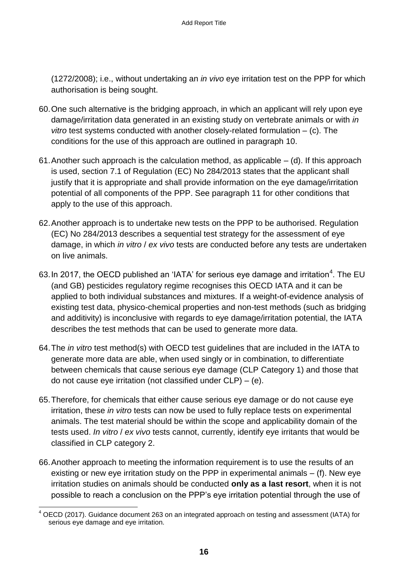(1272/2008); i.e., without undertaking an *in vivo* eye irritation test on the PPP for which authorisation is being sought.

- 60.One such alternative is the bridging approach, in which an applicant will rely upon eye damage/irritation data generated in an existing study on vertebrate animals or with *in vitro* test systems conducted with another closely-related formulation – (c). The conditions for the use of this approach are outlined in paragraph 10.
- 61. Another such approach is the calculation method, as applicable  $-$  (d). If this approach is used, section 7.1 of Regulation (EC) No 284/2013 states that the applicant shall justify that it is appropriate and shall provide information on the eye damage/irritation potential of all components of the PPP. See paragraph 11 for other conditions that apply to the use of this approach.
- 62.Another approach is to undertake new tests on the PPP to be authorised. Regulation (EC) No 284/2013 describes a sequential test strategy for the assessment of eye damage, in which *in vitro* / *ex vivo* tests are conducted before any tests are undertaken on live animals.
- 63. In 2017, the OECD published an 'IATA' for serious eye damage and irritation<sup>4</sup>. The EU (and GB) pesticides regulatory regime recognises this OECD IATA and it can be applied to both individual substances and mixtures. If a weight-of-evidence analysis of existing test data, physico-chemical properties and non-test methods (such as bridging and additivity) is inconclusive with regards to eye damage/irritation potential, the IATA describes the test methods that can be used to generate more data.
- 64.The *in vitro* test method(s) with OECD test guidelines that are included in the IATA to generate more data are able, when used singly or in combination, to differentiate between chemicals that cause serious eye damage (CLP Category 1) and those that do not cause eye irritation (not classified under  $CLP$ ) – (e).
- 65.Therefore, for chemicals that either cause serious eye damage or do not cause eye irritation, these *in vitro* tests can now be used to fully replace tests on experimental animals. The test material should be within the scope and applicability domain of the tests used. *In vitro* / *ex vivo* tests cannot, currently, identify eye irritants that would be classified in CLP category 2.
- 66.Another approach to meeting the information requirement is to use the results of an existing or new eye irritation study on the PPP in experimental animals – (f). New eye irritation studies on animals should be conducted **only as a last resort**, when it is not possible to reach a conclusion on the PPP's eye irritation potential through the use of

<sup>1</sup>  $4$  OECD (2017). Guidance document 263 on an integrated approach on testing and assessment (IATA) for serious eye damage and eye irritation.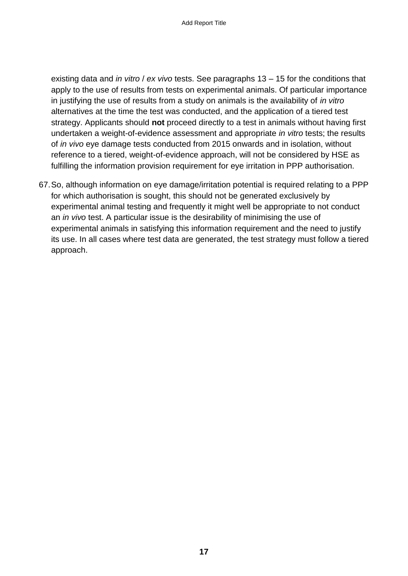existing data and *in vitro* / *ex vivo* tests. See paragraphs 13 – 15 for the conditions that apply to the use of results from tests on experimental animals. Of particular importance in justifying the use of results from a study on animals is the availability of *in vitro* alternatives at the time the test was conducted, and the application of a tiered test strategy. Applicants should **not** proceed directly to a test in animals without having first undertaken a weight-of-evidence assessment and appropriate *in vitro* tests; the results of *in vivo* eye damage tests conducted from 2015 onwards and in isolation, without reference to a tiered, weight-of-evidence approach, will not be considered by HSE as fulfilling the information provision requirement for eye irritation in PPP authorisation.

67.So, although information on eye damage/irritation potential is required relating to a PPP for which authorisation is sought, this should not be generated exclusively by experimental animal testing and frequently it might well be appropriate to not conduct an *in vivo* test. A particular issue is the desirability of minimising the use of experimental animals in satisfying this information requirement and the need to justify its use. In all cases where test data are generated, the test strategy must follow a tiered approach.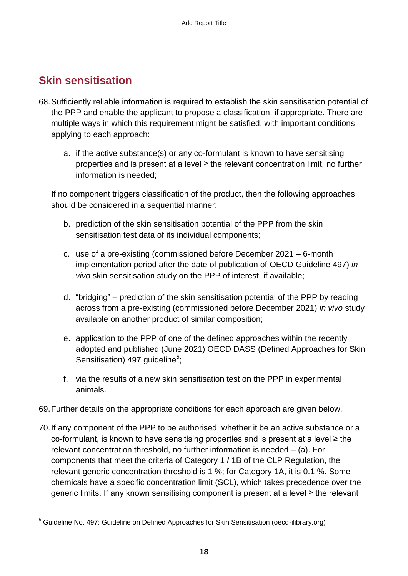#### <span id="page-19-0"></span>**Skin sensitisation**

- 68.Sufficiently reliable information is required to establish the skin sensitisation potential of the PPP and enable the applicant to propose a classification, if appropriate. There are multiple ways in which this requirement might be satisfied, with important conditions applying to each approach:
	- a. if the active substance(s) or any co-formulant is known to have sensitising properties and is present at a level ≥ the relevant concentration limit, no further information is needed;

If no component triggers classification of the product, then the following approaches should be considered in a sequential manner:

- b. prediction of the skin sensitisation potential of the PPP from the skin sensitisation test data of its individual components;
- c. use of a pre-existing (commissioned before December 2021 6-month implementation period after the date of publication of OECD Guideline 497) *in vivo* skin sensitisation study on the PPP of interest, if available;
- d. "bridging" prediction of the skin sensitisation potential of the PPP by reading across from a pre-existing (commissioned before December 2021) *in vivo* study available on another product of similar composition;
- e. application to the PPP of one of the defined approaches within the recently adopted and published (June 2021) OECD DASS (Defined Approaches for Skin Sensitisation) 497 guideline<sup>5</sup>;
- f. via the results of a new skin sensitisation test on the PPP in experimental animals.
- 69.Further details on the appropriate conditions for each approach are given below.
- 70.If any component of the PPP to be authorised, whether it be an active substance or a co-formulant, is known to have sensitising properties and is present at a level ≥ the relevant concentration threshold, no further information is needed – (a). For components that meet the criteria of Category 1 / 1B of the CLP Regulation, the relevant generic concentration threshold is 1 %; for Category 1A, it is 0.1 %. Some chemicals have a specific concentration limit (SCL), which takes precedence over the generic limits. If any known sensitising component is present at a level ≥ the relevant

<sup>1</sup> <sup>5</sup> [Guideline No. 497: Guideline on Defined Approaches for Skin Sensitisation \(oecd-ilibrary.org\)](https://www.oecd-ilibrary.org/docserver/b92879a4-en.pdf?expires=1624283798&id=id&accname=guest&checksum=E7410594E8164E3626AB5855C65124B6)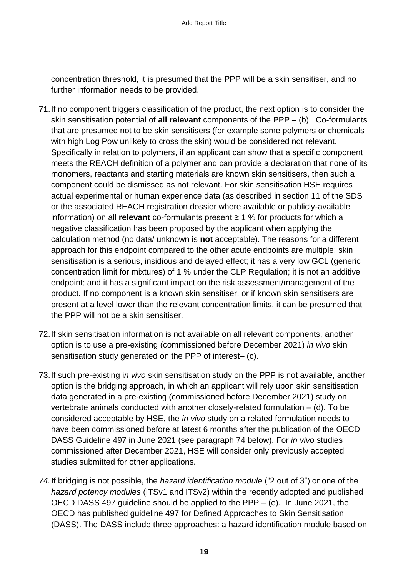concentration threshold, it is presumed that the PPP will be a skin sensitiser, and no further information needs to be provided.

- 71.If no component triggers classification of the product, the next option is to consider the skin sensitisation potential of **all relevant** components of the PPP – (b). Co-formulants that are presumed not to be skin sensitisers (for example some polymers or chemicals with high Log Pow unlikely to cross the skin) would be considered not relevant. Specifically in relation to polymers, if an applicant can show that a specific component meets the REACH definition of a polymer and can provide a declaration that none of its monomers, reactants and starting materials are known skin sensitisers, then such a component could be dismissed as not relevant. For skin sensitisation HSE requires actual experimental or human experience data (as described in section 11 of the SDS or the associated REACH registration dossier where available or publicly-available information) on all **relevant** co-formulants present ≥ 1 % for products for which a negative classification has been proposed by the applicant when applying the calculation method (no data/ unknown is **not** acceptable). The reasons for a different approach for this endpoint compared to the other acute endpoints are multiple: skin sensitisation is a serious, insidious and delayed effect; it has a very low GCL (generic concentration limit for mixtures) of 1 % under the CLP Regulation; it is not an additive endpoint; and it has a significant impact on the risk assessment/management of the product. If no component is a known skin sensitiser, or if known skin sensitisers are present at a level lower than the relevant concentration limits, it can be presumed that the PPP will not be a skin sensitiser.
- 72.If skin sensitisation information is not available on all relevant components, another option is to use a pre-existing (commissioned before December 2021) *in vivo* skin sensitisation study generated on the PPP of interest– (c).
- 73.If such pre-existing i*n vivo* skin sensitisation study on the PPP is not available, another option is the bridging approach, in which an applicant will rely upon skin sensitisation data generated in a pre-existing (commissioned before December 2021) study on vertebrate animals conducted with another closely-related formulation – (d). To be considered acceptable by HSE, the *in vivo* study on a related formulation needs to have been commissioned before at latest 6 months after the publication of the OECD DASS Guideline 497 in June 2021 (see paragraph 74 below). For *in vivo* studies commissioned after December 2021, HSE will consider only previously accepted studies submitted for other applications.
- *74.*If bridging is not possible, the *hazard identification module* ("2 out of 3") or one of the *hazard potency modules* (ITSv1 and ITSv2) within the recently adopted and published OECD DASS 497 guideline should be applied to the PPP – (e). In June 2021, the OECD has published guideline 497 for Defined Approaches to Skin Sensitisation (DASS). The DASS include three approaches: a hazard identification module based on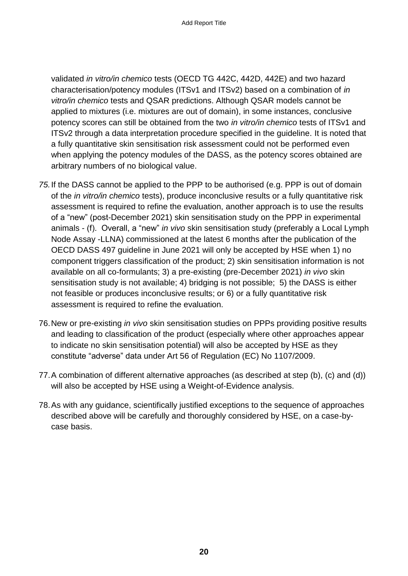validated *in vitro/in chemico* tests (OECD TG 442C, 442D, 442E) and two hazard characterisation/potency modules (ITSv1 and ITSv2) based on a combination of *in vitro/in chemico* tests and QSAR predictions. Although QSAR models cannot be applied to mixtures (i.e. mixtures are out of domain), in some instances, conclusive potency scores can still be obtained from the two *in vitro/in chemico* tests of ITSv1 and ITSv2 through a data interpretation procedure specified in the guideline. It is noted that a fully quantitative skin sensitisation risk assessment could not be performed even when applying the potency modules of the DASS, as the potency scores obtained are arbitrary numbers of no biological value.

- *75.*If the DASS cannot be applied to the PPP to be authorised (e.g. PPP is out of domain of the *in vitro/in chemico* tests), produce inconclusive results or a fully quantitative risk assessment is required to refine the evaluation, another approach is to use the results of a "new" (post-December 2021) skin sensitisation study on the PPP in experimental animals - (f). Overall, a "new" *in vivo* skin sensitisation study (preferably a Local Lymph Node Assay -LLNA) commissioned at the latest 6 months after the publication of the OECD DASS 497 guideline in June 2021 will only be accepted by HSE when 1) no component triggers classification of the product; 2) skin sensitisation information is not available on all co-formulants; 3) a pre-existing (pre-December 2021) *in vivo* skin sensitisation study is not available; 4) bridging is not possible; 5) the DASS is either not feasible or produces inconclusive results; or 6) or a fully quantitative risk assessment is required to refine the evaluation.
- 76.New or pre-existing *in vivo* skin sensitisation studies on PPPs providing positive results and leading to classification of the product (especially where other approaches appear to indicate no skin sensitisation potential) will also be accepted by HSE as they constitute "adverse" data under Art 56 of Regulation (EC) No 1107/2009.
- 77.A combination of different alternative approaches (as described at step (b), (c) and (d)) will also be accepted by HSE using a Weight-of-Evidence analysis.
- 78.As with any guidance, scientifically justified exceptions to the sequence of approaches described above will be carefully and thoroughly considered by HSE, on a case-bycase basis.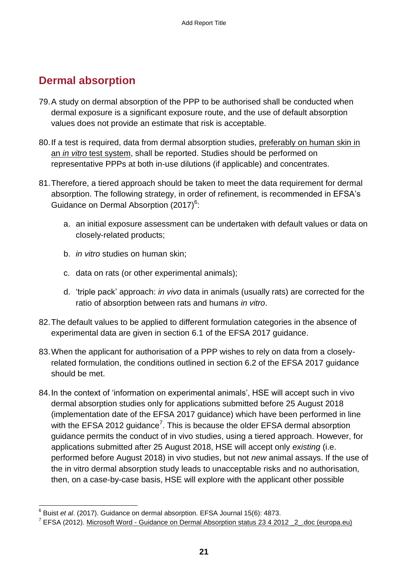#### <span id="page-22-0"></span>**Dermal absorption**

- 79.A study on dermal absorption of the PPP to be authorised shall be conducted when dermal exposure is a significant exposure route, and the use of default absorption values does not provide an estimate that risk is acceptable.
- 80.If a test is required, data from dermal absorption studies, preferably on human skin in an *in vitro* test system, shall be reported. Studies should be performed on representative PPPs at both in-use dilutions (if applicable) and concentrates.
- 81.Therefore, a tiered approach should be taken to meet the data requirement for dermal absorption. The following strategy, in order of refinement, is recommended in EFSA's Guidance on Dermal Absorption  $(2017)^6$ :
	- a. an initial exposure assessment can be undertaken with default values or data on closely-related products;
	- b. *in vitro* studies on human skin;
	- c. data on rats (or other experimental animals);
	- d. 'triple pack' approach: *in vivo* data in animals (usually rats) are corrected for the ratio of absorption between rats and humans *in vitro*.
- 82.The default values to be applied to different formulation categories in the absence of experimental data are given in section 6.1 of the EFSA 2017 guidance.
- 83.When the applicant for authorisation of a PPP wishes to rely on data from a closelyrelated formulation, the conditions outlined in section 6.2 of the EFSA 2017 guidance should be met.
- 84.In the context of 'information on experimental animals', HSE will accept such in vivo dermal absorption studies only for applications submitted before 25 August 2018 (implementation date of the EFSA 2017 guidance) which have been performed in line with the EFSA 2012 guidance<sup>7</sup>. This is because the older EFSA dermal absorption guidance permits the conduct of in vivo studies, using a tiered approach. However, for applications submitted after 25 August 2018, HSE will accept only *existing* (i.e. performed before August 2018) in vivo studies, but not *new* animal assays. If the use of the in vitro dermal absorption study leads to unacceptable risks and no authorisation, then, on a case-by-case basis, HSE will explore with the applicant other possible

 6 Buist *et al*. (2017). Guidance on dermal absorption. EFSA Journal 15(6): 4873.

<sup>&</sup>lt;sup>7</sup> EFSA (2012). Microsoft Word - Guidance on Dermal Absorption status 23 4 2012 \_2 .doc (europa.eu)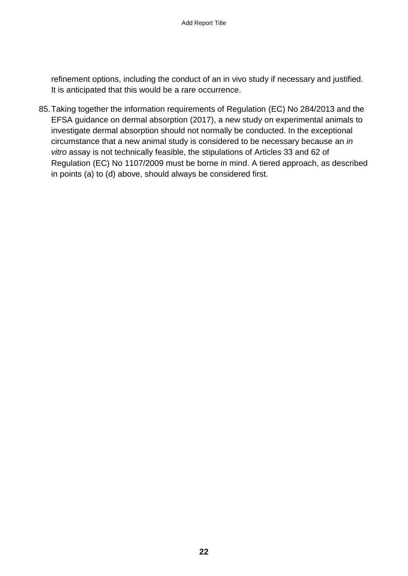refinement options, including the conduct of an in vivo study if necessary and justified. It is anticipated that this would be a rare occurrence.

85.Taking together the information requirements of Regulation (EC) No 284/2013 and the EFSA guidance on dermal absorption (2017), a new study on experimental animals to investigate dermal absorption should not normally be conducted. In the exceptional circumstance that a new animal study is considered to be necessary because an *in vitro* assay is not technically feasible, the stipulations of Articles 33 and 62 of Regulation (EC) No 1107/2009 must be borne in mind. A tiered approach, as described in points (a) to (d) above, should always be considered first.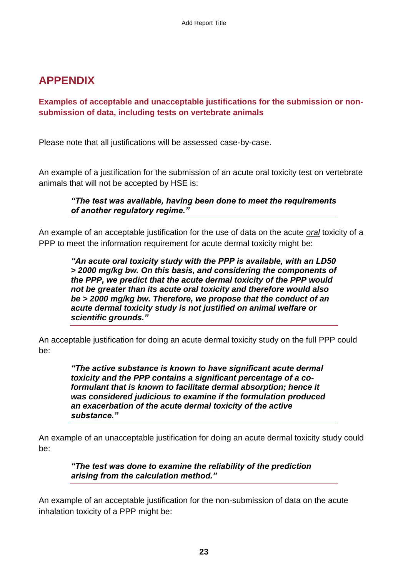#### <span id="page-24-0"></span>**APPENDIX**

#### <span id="page-24-1"></span>**Examples of acceptable and unacceptable justifications for the submission or nonsubmission of data, including tests on vertebrate animals**

Please note that all justifications will be assessed case-by-case.

An example of a justification for the submission of an acute oral toxicity test on vertebrate animals that will not be accepted by HSE is:

#### *"The test was available, having been done to meet the requirements of another regulatory regime."*

An example of an acceptable justification for the use of data on the acute *oral* toxicity of a PPP to meet the information requirement for acute dermal toxicity might be:

*"An acute oral toxicity study with the PPP is available, with an LD50 > 2000 mg/kg bw. On this basis, and considering the components of the PPP, we predict that the acute dermal toxicity of the PPP would not be greater than its acute oral toxicity and therefore would also be > 2000 mg/kg bw. Therefore, we propose that the conduct of an acute dermal toxicity study is not justified on animal welfare or scientific grounds."*

An acceptable justification for doing an acute dermal toxicity study on the full PPP could be:

> *"The active substance is known to have significant acute dermal toxicity and the PPP contains a significant percentage of a coformulant that is known to facilitate dermal absorption; hence it was considered judicious to examine if the formulation produced an exacerbation of the acute dermal toxicity of the active substance."*

An example of an unacceptable justification for doing an acute dermal toxicity study could be:

*"The test was done to examine the reliability of the prediction arising from the calculation method."*

An example of an acceptable justification for the non-submission of data on the acute inhalation toxicity of a PPP might be: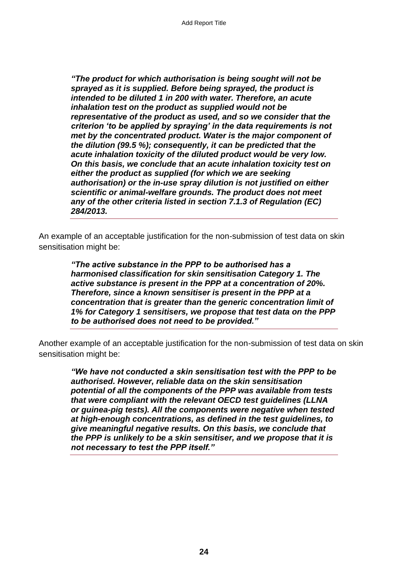*"The product for which authorisation is being sought will not be sprayed as it is supplied. Before being sprayed, the product is intended to be diluted 1 in 200 with water. Therefore, an acute inhalation test on the product as supplied would not be representative of the product as used, and so we consider that the criterion 'to be applied by spraying' in the data requirements is not met by the concentrated product. Water is the major component of the dilution (99.5 %); consequently, it can be predicted that the acute inhalation toxicity of the diluted product would be very low. On this basis, we conclude that an acute inhalation toxicity test on either the product as supplied (for which we are seeking authorisation) or the in-use spray dilution is not justified on either scientific or animal-welfare grounds. The product does not meet any of the other criteria listed in section 7.1.3 of Regulation (EC) 284/2013.* 

An example of an acceptable justification for the non-submission of test data on skin sensitisation might be:

> *"The active substance in the PPP to be authorised has a harmonised classification for skin sensitisation Category 1. The active substance is present in the PPP at a concentration of 20%. Therefore, since a known sensitiser is present in the PPP at a concentration that is greater than the generic concentration limit of 1% for Category 1 sensitisers, we propose that test data on the PPP to be authorised does not need to be provided."*

Another example of an acceptable justification for the non-submission of test data on skin sensitisation might be:

*"We have not conducted a skin sensitisation test with the PPP to be authorised. However, reliable data on the skin sensitisation potential of all the components of the PPP was available from tests that were compliant with the relevant OECD test guidelines (LLNA or guinea-pig tests). All the components were negative when tested at high-enough concentrations, as defined in the test guidelines, to give meaningful negative results. On this basis, we conclude that the PPP is unlikely to be a skin sensitiser, and we propose that it is not necessary to test the PPP itself."*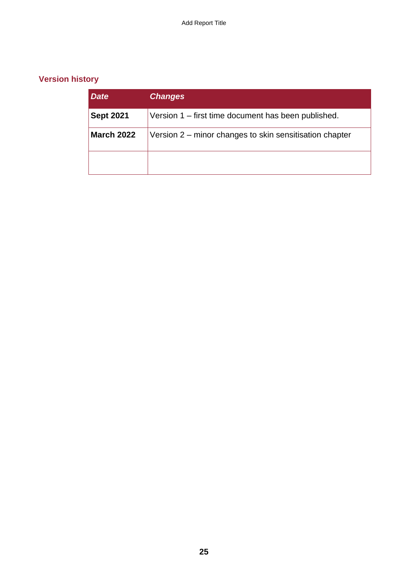#### <span id="page-26-0"></span>**Version history**

| <b>Date</b>       | <b>Changes</b>                                          |
|-------------------|---------------------------------------------------------|
| <b>Sept 2021</b>  | Version 1 – first time document has been published.     |
| <b>March 2022</b> | Version 2 – minor changes to skin sensitisation chapter |
|                   |                                                         |